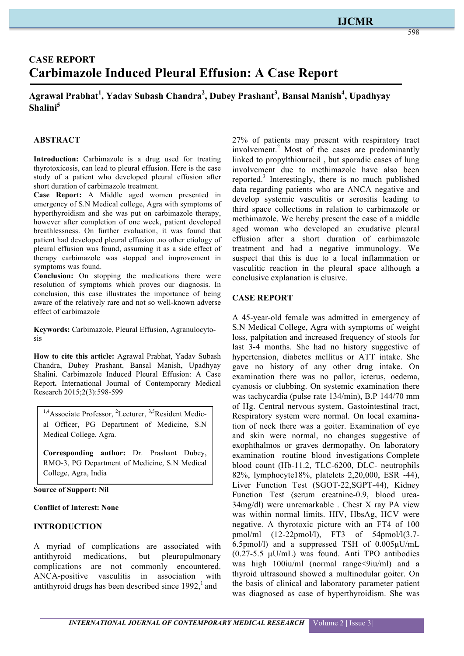## **IJCMR**

# **CASE REPORT Carbimazole Induced Pleural Effusion: A Case Report**

## **Agrawal Prabhat<sup>1</sup> , Yadav Subash Chandra2 , Dubey Prashant3 , Bansal Manish<sup>4</sup> , Upadhyay Shalini5**

## **ABSTRACT**

Introduction: Carbimazole is a drug used for treating thyrotoxicosis, can lead to pleural effusion. Here is the case study of a patient who developed pleural effusion after short duration of carbimazole treatment.

**Case Report:** A Middle aged women presented in emergency of S.N Medical college, Agra with symptoms of hyperthyroidism and she was put on carbimazole therapy, however after completion of one week, patient developed breathlessness. On further evaluation, it was found that patient had developed pleural effusion .no other etiology of pleural effusion was found, assuming it as a side effect of therapy carbimazole was stopped and improvement in symptoms was found.

**Conclusion:** On stopping the medications there were resolution of symptoms which proves our diagnosis. In conclusion, this case illustrates the importance of being aware of the relatively rare and not so well-known adverse effect of carbimazole

**Keywords:** Carbimazole, Pleural Effusion, Agranulocytosis

**How to cite this article:** Agrawal Prabhat, Yadav Subash Chandra, Dubey Prashant, Bansal Manish, Upadhyay Shalini. Carbimazole Induced Pleural Effusion: A Case Report**.** International Journal of Contemporary Medical Research 2015;2(3):598-599

<sup>1,4</sup>Associate Professor, <sup>2</sup>Lecturer, <sup>3,5</sup>Resident Medical Officer, PG Department of Medicine, S.N Medical College, Agra.

**Corresponding author:** Dr. Prashant Dubey, RMO-3, PG Department of Medicine, S.N Medical College, Agra, India

**Source of Support: Nil**

#### **Conflict of Interest: None**

#### **INTRODUCTION**

A myriad of complications are associated with antithyroid medications, but pleuropulmonary complications are not commonly encountered. ANCA-positive vasculitis in association with antithyroid drugs has been described since  $1992<sup>1</sup>$  and

27% of patients may present with respiratory tract involvement.<sup>2</sup> Most of the cases are predominantly linked to propylthiouracil , but sporadic cases of lung involvement due to methimazole have also been reported.<sup>3</sup> Interestingly, there is no much published data regarding patients who are ANCA negative and develop systemic vasculitis or serositis leading to third space collections in relation to carbimazole or methimazole. We hereby present the case of a middle aged woman who developed an exudative pleural effusion after a short duration of carbimazole treatment and had a negative immunology. We suspect that this is due to a local inflammation or vasculitic reaction in the pleural space although a conclusive explanation is elusive.

#### **CASE REPORT**

A 45-year-old female was admitted in emergency of S.N Medical College, Agra with symptoms of weight loss, palpitation and increased frequency of stools for last 3-4 months. She had no history suggestive of hypertension, diabetes mellitus or ATT intake. She gave no history of any other drug intake. On examination there was no pallor, icterus, oedema, cyanosis or clubbing. On systemic examination there was tachycardia (pulse rate 134/min), B.P 144/70 mm of Hg. Central nervous system, Gastointestinal tract, Respiratory system were normal. On local examination of neck there was a goiter. Examination of eye and skin were normal, no changes suggestive of exophthalmos or graves dermopathy. On laboratory examination routine blood investigations Complete blood count (Hb-11.2, TLC-6200, DLC- neutrophils 82%, lymphocyte18%, platelets 2,20,000, ESR -44), Liver Function Test (SGOT-22,SGPT-44), Kidney Function Test (serum creatnine-0.9, blood urea-34mg/dl) were unremarkable . Chest X ray PA view was within normal limits. HIV, HbsAg, HCV were negative. A thyrotoxic picture with an FT4 of 100 pmol/ml (12-22pmol/l), FT3 of 54pmol/l(3.7- 6.5pmol/l) and a suppressed TSH of 0.005µU/mL (0.27-5.5 µU/mL) was found. Anti TPO antibodies was high  $100$ iu/ml (normal range $\leq$ 9iu/ml) and a thyroid ultrasound showed a multinodular goiter. On the basis of clinical and laboratory parameter patient was diagnosed as case of hyperthyroidism. She was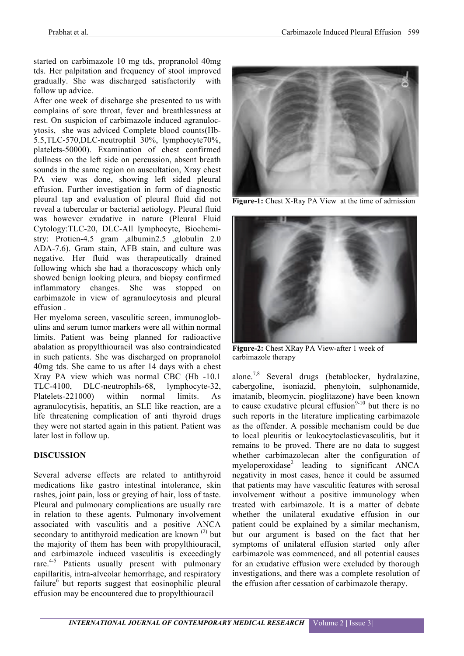started on carbimazole 10 mg tds, propranolol 40mg tds. Her palpitation and frequency of stool improved gradually. She was discharged satisfactorily with follow up advice.

After one week of discharge she presented to us with complains of sore throat, fever and breathlessness at rest. On suspicion of carbimazole induced agranulocytosis, she was adviced Complete blood counts(Hb-5.5,TLC-570,DLC-neutrophil 30%, lymphocyte70%, platelets-50000). Examination of chest confirmed dullness on the left side on percussion, absent breath sounds in the same region on auscultation, Xray chest PA view was done, showing left sided pleural effusion. Further investigation in form of diagnostic pleural tap and evaluation of pleural fluid did not reveal a tubercular or bacterial aetiology. Pleural fluid was however exudative in nature (Pleural Fluid Cytology:TLC-20, DLC-All lymphocyte, Biochemistry: Protien-4.5 gram ,albumin2.5 ,globulin 2.0 ADA-7.6). Gram stain, AFB stain, and culture was negative. Her fluid was therapeutically drained following which she had a thoracoscopy which only showed benign looking pleura, and biopsy confirmed inflammatory changes. She was stopped on carbimazole in view of agranulocytosis and pleural effusion .

Her myeloma screen, vasculitic screen, immunoglobulins and serum tumor markers were all within normal limits. Patient was being planned for radioactive abalation as propylthiouracil was also contraindicated in such patients. She was discharged on propranolol 40mg tds. She came to us after 14 days with a chest Xray PA view which was normal CBC (Hb -10.1 TLC-4100, DLC-neutrophils-68, lymphocyte-32, Platelets-221000) within normal limits. As agranulocytisis, hepatitis, an SLE like reaction, are a life threatening complication of anti thyroid drugs they were not started again in this patient. Patient was later lost in follow up.

## **DISCUSSION**

Several adverse effects are related to antithyroid medications like gastro intestinal intolerance, skin rashes, joint pain, loss or greying of hair, loss of taste. Pleural and pulmonary complications are usually rare in relation to these agents. Pulmonary involvement associated with vasculitis and a positive ANCA secondary to antithyroid medication are known  $(2)$  but the majority of them has been with propylthiouracil, and carbimazole induced vasculitis is exceedingly rare.<sup>4-5</sup> Patients usually present with pulmonary capillaritis, intra-alveolar hemorrhage, and respiratory failure<sup>6</sup> but reports suggest that eosinophilic pleural effusion may be encountered due to propylthiouracil



**Figure-1:** Chest X-Ray PA View at the time of admission



**Figure-2:** Chest XRay PA View-after 1 week of carbimazole therapy

alone.7,8 Several drugs (betablocker, hydralazine, cabergoline, isoniazid, phenytoin, sulphonamide, imatanib, bleomycin, pioglitazone) have been known to cause exudative pleural effusion<sup>9-10</sup> but there is no such reports in the literature implicating carbimazole as the offender. A possible mechanism could be due to local pleuritis or leukocytoclasticvasculitis, but it remains to be proved. There are no data to suggest whether carbimazolecan alter the configuration of myeloperoxidase<sup>2</sup> leading to significant ANCA negativity in most cases, hence it could be assumed that patients may have vasculitic features with serosal involvement without a positive immunology when treated with carbimazole. It is a matter of debate whether the unilateral exudative effusion in our patient could be explained by a similar mechanism, but our argument is based on the fact that her symptoms of unilateral effusion started only after carbimazole was commenced, and all potential causes for an exudative effusion were excluded by thorough investigations, and there was a complete resolution of the effusion after cessation of carbimazole therapy.